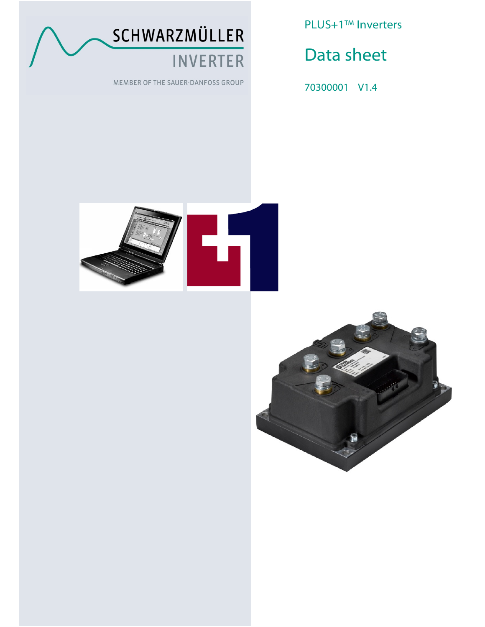

MEMBER OF THE SAUER-DANFOSS GROUP

PLUS+1™ Inverters

Data sheet

70300001 V1.4



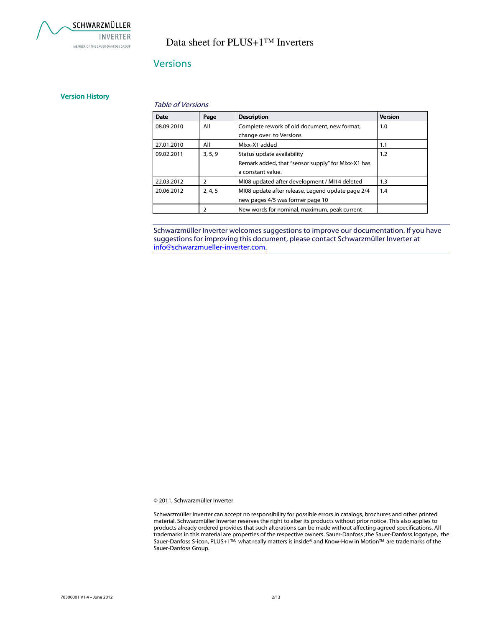

### **Versions**

#### Version History

#### Table of Versions

| <b>Date</b> | Page           | <b>Description</b>                                 | <b>Version</b> |
|-------------|----------------|----------------------------------------------------|----------------|
| 08.09.2010  | All            | Complete rework of old document, new format,       | 1.0            |
|             |                | change over to Versions                            |                |
| 27.01.2010  | All            | Mlxx-X1 added                                      | 1.1            |
| 09.02.2011  | 3.5.9          | Status update availability                         | 1.2            |
|             |                | Remark added, that "sensor supply" for MIxx-X1 has |                |
|             |                | a constant value.                                  |                |
| 22.03.2012  | $\overline{2}$ | MI08 updated after development / MI14 deleted      | 1.3            |
| 20.06.2012  | 2, 4, 5        | MI08 update after release, Legend update page 2/4  | 1.4            |
|             |                | new pages 4/5 was former page 10                   |                |
|             | 2              | New words for nominal, maximum, peak current       |                |

Schwarzmüller Inverter welcomes suggestions to improve our documentation. If you have suggestions for improving this document, please contact Schwarzmüller Inverter at info@schwarzmueller-inverter.com.

© 2011, Schwarzmüller Inverter

Schwarzmüller Inverter can accept no responsibility for possible errors in catalogs, brochures and other printed material. Schwarzmüller Inverter reserves the right to alter its products without prior notice. This also applies to products already ordered provides that such alterations can be made without affecting agreed specifications. All trademarks in this material are properties of the respective owners. Sauer-Danfoss ,the Sauer-Danfoss logotype, the Sauer-Danfoss S-icon, PLUS+1™, what really matters is inside® and Know-How in Motion™ are trademarks of the Sauer-Danfoss Group.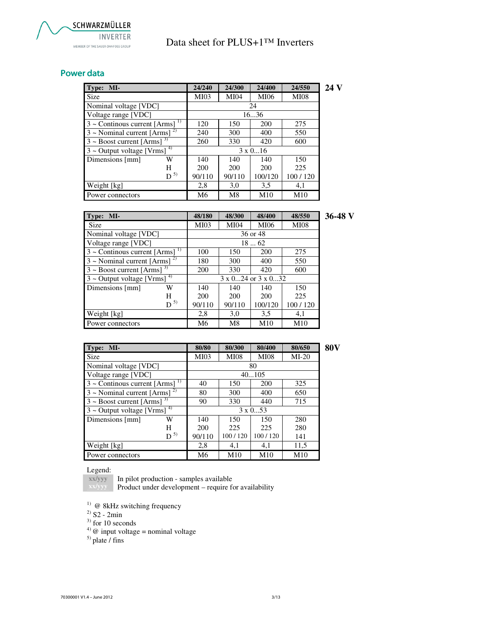### Power data

| Type: MI-                                        |         | 24/240          | 24/300      | 24/400      | 24/550      | 24 V |
|--------------------------------------------------|---------|-----------------|-------------|-------------|-------------|------|
| Size                                             |         | MI03            | <b>MI04</b> | <b>MI06</b> | <b>MI08</b> |      |
| Nominal voltage [VDC]                            |         |                 |             | 24          |             |      |
| Voltage range [VDC]                              |         | 1636            |             |             |             |      |
| $3 \sim$ Continuous current [Arms] <sup>1)</sup> |         | 120             | 150         | 200         | 275         |      |
| $3 \sim$ Nominal current [Arms] <sup>2)</sup>    |         | 240             | 300         | 400         | 550         |      |
| $3 \sim$ Boost current [Arms] <sup>3)</sup>      |         | 260             | 330         | 420         | 600         |      |
| $3$ ~ Output voltage [Vrms] <sup>4)</sup>        |         | $3 \times 0$ 16 |             |             |             |      |
| Dimensions [mm]                                  | W       | 140             | 140         | 140         | 150         |      |
|                                                  | H       | 200             | 200         | 200         | 225         |      |
|                                                  | $D^{5}$ | 90/110          | 90/110      | 100/120     | 100/120     |      |
| Weight [kg]                                      |         | 2,8             | 3,0         | 3.5         | 4,1         |      |
| Power connectors                                 |         | M6              | M8          | M10         | M10         |      |

| Type: MI-                                       | 48/180      | 48/300      | 48/400      | 48/550      | 36-48 V |
|-------------------------------------------------|-------------|-------------|-------------|-------------|---------|
| <b>Size</b>                                     | <b>MI03</b> | <b>MI04</b> | <b>MI06</b> | <b>MI08</b> |         |
| Nominal voltage [VDC]                           |             |             | 36 or 48    |             |         |
| Voltage range [VDC]                             |             |             | 1862        |             |         |
| $3 \sim$ Continous current [Arms] <sup>1)</sup> | 100         | 150         | <b>200</b>  | 275         |         |
| $3 \sim$ Nominal current [Arms] <sup>2)</sup>   | 180         | 300         | 400         | 550         |         |
| $3 \sim$ Boost current [Arms] <sup>3)</sup>     | 200         | 330         | 420         | 600         |         |
| $3$ ~ Output voltage [Vrms] <sup>4)</sup>       |             |             |             |             |         |
| Dimensions [mm]<br>W                            | 140         | 140         | 140         | 150         |         |
| H                                               | <b>200</b>  | 200         | 200         | 225         |         |
| $D^{5}$                                         | 90/110      | 90/110      | 100/120     | 100/120     |         |
| Weight [kg]                                     | 2,8         | 3,0         | 3.5         | 4,1         |         |
| Power connectors                                | M6          | M8          | M10         | M10         |         |

| Type: MI-                                       |           | 80/80       | 80/300      | 80/400          | 80/650  | <b>80V</b> |
|-------------------------------------------------|-----------|-------------|-------------|-----------------|---------|------------|
| Size                                            |           | <b>MI03</b> | <b>MI08</b> | <b>MI08</b>     | $MI-20$ |            |
| Nominal voltage [VDC]                           |           |             |             | 80              |         |            |
| Voltage range [VDC]                             |           |             |             | 40105           |         |            |
| $3 \sim$ Continuos current [Arms] <sup>1)</sup> |           | 40          | 150         | 200             | 325     |            |
| $3 \sim$ Nominal current [Arms] <sup>2)</sup>   | 80        | 300         | 400         | 650             |         |            |
| $3 \sim$ Boost current [Arms] <sup>3)</sup>     | 90        | 330         | 440         | 715             |         |            |
| $3 \sim$ Output voltage [Vrms] <sup>4)</sup>    |           |             |             | $3 \times 0$ 53 |         |            |
| Dimensions [mm]                                 | W         | 140         | 150         | 150             | 280     |            |
|                                                 | H         | 200         | 225         | 225             | 280     |            |
|                                                 | $D^{(5)}$ | 90/110      | 100/120     | 100/120         | 141     |            |
| Weight [kg]                                     |           | 2,8         | 4,1         | 4,1             | 11,5    |            |
| Power connectors                                |           | M6          | M10         | M10             | M10     |            |

#### Legend:

**xx/yyy**  In pilot production - samples available

Product under development – require for availability

 $1)$  @ 8kHz switching frequency

- $^{2)}$  S2 2min
- $3)$  for 10 seconds
- <sup>4)</sup>  $\omega$  input voltage = nominal voltage

 $<sup>5)</sup>$  plate / fins</sup>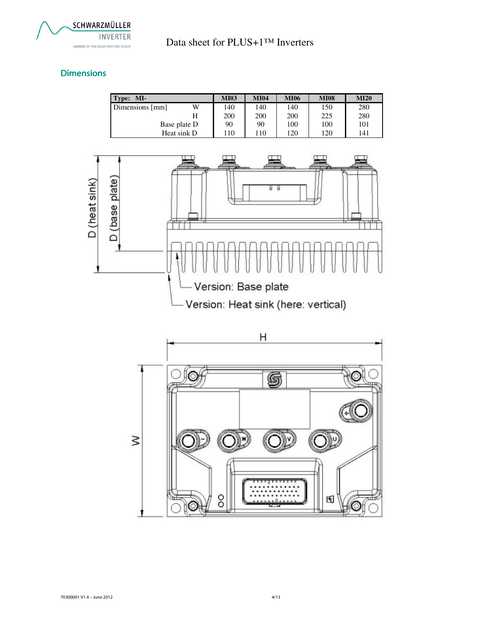

### **Dimensions**

| Type: MI-       |              | <b>MI03</b> | <b>MI04</b> | <b>MI06</b> | <b>MI08</b> | <b>MI20</b> |
|-----------------|--------------|-------------|-------------|-------------|-------------|-------------|
| Dimensions [mm] | W            | 140         | 140         | 140         | 150         | 280         |
|                 | Н            | 200         | <b>200</b>  | 200         | 225         | 280         |
|                 | Base plate D | 90          | 90          | 100         | 100         | 101         |
|                 | Heat sink D  | l 10        | 110         | 120         | 120         | 141         |



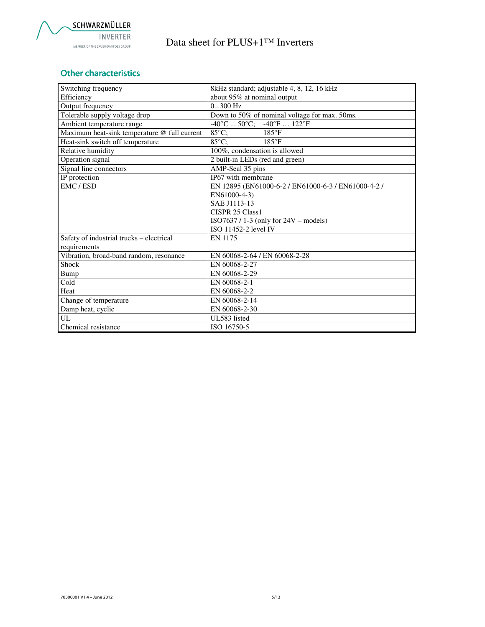

## Other characteristics

| Switching frequency                          | 8kHz standard; adjustable 4, 8, 12, 16 kHz                         |
|----------------------------------------------|--------------------------------------------------------------------|
| Efficiency                                   | about 95% at nominal output                                        |
| Output frequency                             | $0300$ Hz                                                          |
| Tolerable supply voltage drop                | Down to 50% of nominal voltage for max. 50ms.                      |
| Ambient temperature range                    | $-40^{\circ}$ F $122^{\circ}$ F<br>$-40^{\circ}$ C $50^{\circ}$ C; |
| Maximum heat-sink temperature @ full current | 85°C;<br>$185^{\circ}F$                                            |
| Heat-sink switch off temperature             | $85^{\circ}$ C:<br>$185^{\circ}F$                                  |
| Relative humidity                            | 100%, condensation is allowed                                      |
| Operation signal                             | 2 built-in LEDs (red and green)                                    |
| Signal line connectors                       | AMP-Seal 35 pins                                                   |
| IP protection                                | IP67 with membrane                                                 |
| EMC/ESD                                      | EN 12895 (EN61000-6-2 / EN61000-6-3 / EN61000-4-2 /                |
|                                              | EN61000-4-3)                                                       |
|                                              | SAE J1113-13                                                       |
|                                              | CISPR 25 Class1                                                    |
|                                              | $ISO7637 / 1-3$ (only for $24V$ – models)                          |
|                                              | ISO 11452-2 level IV                                               |
| Safety of industrial trucks - electrical     | EN 1175                                                            |
| requirements                                 |                                                                    |
| Vibration, broad-band random, resonance      | EN 60068-2-64 / EN 60068-2-28                                      |
| Shock                                        | EN 60068-2-27                                                      |
| Bump                                         | EN 60068-2-29                                                      |
| Cold                                         | EN 60068-2-1                                                       |
| Heat                                         | EN 60068-2-2                                                       |
| Change of temperature                        | EN 60068-2-14                                                      |
| Damp heat, cyclic                            | EN 60068-2-30                                                      |
| UL                                           | UL583 listed                                                       |
| Chemical resistance                          | ISO 16750-5                                                        |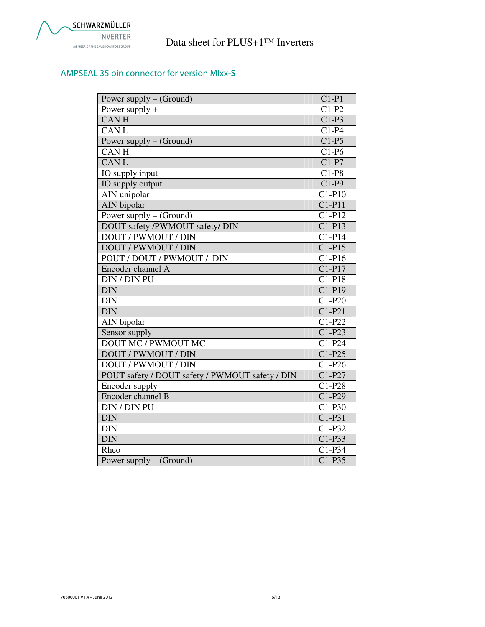# AMPSEAL 35 pin connector for version MIxx-S

| Power supply $-$ (Ground)                       | $C1-P1$             |
|-------------------------------------------------|---------------------|
| Power supply $+$                                | $C1-P2$             |
| <b>CANH</b>                                     | $C1-P3$             |
| <b>CANL</b>                                     | $C1-P4$             |
| Power supply $-$ (Ground)                       | $C1-P5$             |
| <b>CANH</b>                                     | $C1-P6$             |
| <b>CANL</b>                                     | $C1-P7$             |
| IO supply input                                 | $C1-P8$             |
| IO supply output                                | $C1-P9$             |
| AIN unipolar                                    | $C1-P10$            |
| <b>AIN</b> bipolar                              | $C1-P11$            |
| Power supply – (Ground)                         | $C1-P12$            |
| DOUT safety /PWMOUT safety/ DIN                 | $C1-P13$            |
| <b>DOUT / PWMOUT / DIN</b>                      | $C1-P14$            |
| <b>DOUT / PWMOUT / DIN</b>                      | $C1-P15$            |
| POUT / DOUT / PWMOUT / DIN                      | $C1-P16$            |
| Encoder channel A                               | $C1-P17$            |
| <b>DIN / DIN PU</b>                             | $C1-P18$            |
| <b>DIN</b>                                      | $C1-P19$            |
| <b>DIN</b>                                      | $\overline{C1-P20}$ |
| <b>DIN</b>                                      | $C1-P21$            |
| AIN bipolar                                     | $C1-P22$            |
| Sensor supply                                   | $C1-P23$            |
| DOUT MC / PWMOUT MC                             | $C1-P24$            |
| <b>DOUT / PWMOUT / DIN</b>                      | $C1-P25$            |
| <b>DOUT / PWMOUT / DIN</b>                      | $C1-P26$            |
| POUT safety / DOUT safety / PWMOUT safety / DIN | $C1-P27$            |
| <b>Encoder supply</b>                           | $C1-P28$            |
| Encoder channel B                               | $C1-P29$            |
| DIN / DIN PU                                    | $C1-P30$            |
| <b>DIN</b>                                      | $C1-P31$            |
| <b>DIN</b>                                      | $C1-P32$            |
| <b>DIN</b>                                      | $C1-P33$            |
| Rheo                                            | $C1-P34$            |
| Power supply - (Ground)                         | $C1-P35$            |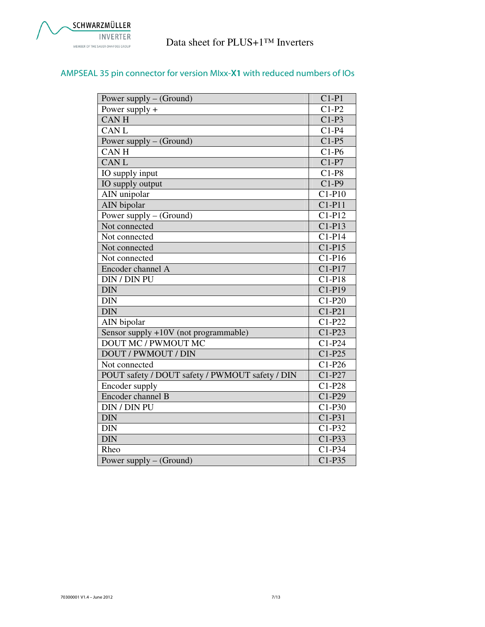### AMPSEAL 35 pin connector for version MIxx-X1 with reduced numbers of IOs

| Power supply – (Ground)                         | $C1-P1$              |
|-------------------------------------------------|----------------------|
| Power supply $+$                                | $C1-P2$              |
| <b>CANH</b>                                     | $C1-P3$              |
| <b>CANL</b>                                     | $C1-P4$              |
| Power supply – (Ground)                         | $C1-P5$              |
| <b>CANH</b>                                     | $C1-P6$              |
| <b>CANL</b>                                     | $C1-P7$              |
| IO supply input                                 | $C1-P8$              |
| IO supply output                                | $C1-P9$              |
| AIN unipolar                                    | $C1-P10$             |
| AIN bipolar                                     | $C1-P11$             |
| Power supply $-$ (Ground)                       | $C1-P12$             |
| Not connected                                   | $C1-P13$             |
| Not connected                                   | $C1-P14$             |
| Not connected                                   | $C1-P15$             |
| Not connected                                   | $C1-P16$             |
| Encoder channel A                               | $C1-P17$             |
| <b>DIN / DIN PU</b>                             | $\overline{C}$ 1-P18 |
| <b>DIN</b>                                      | $C1-P19$             |
| <b>DIN</b>                                      | $C1-P20$             |
| <b>DIN</b>                                      | $C1-P21$             |
| AIN bipolar                                     | $C1-P22$             |
| Sensor supply +10V (not programmable)           | $C1-P23$             |
| <b>DOUT MC / PWMOUT MC</b>                      | $C1-P24$             |
| <b>DOUT / PWMOUT / DIN</b>                      | $C1-P25$             |
| Not connected                                   | $C1-P26$             |
| POUT safety / DOUT safety / PWMOUT safety / DIN | $C1-P27$             |
| Encoder supply                                  | $C1-P28$             |
| Encoder channel B                               | $C1-P29$             |
| DIN / DIN PU                                    | $C1-P30$             |
| <b>DIN</b>                                      | $C1-P31$             |
| <b>DIN</b>                                      | $C1-P32$             |
| <b>DIN</b>                                      | $C1-P33$             |
| Rheo                                            | $C1-P34$             |
| Power supply - (Ground)                         | $C1-P35$             |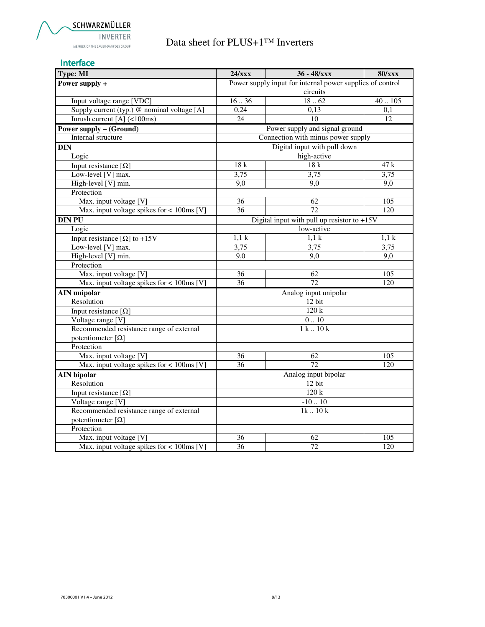#### Interface

| Type: MI                                     | 24/xxx          | $36 - 48/xxx$                                             | <b>80/xxx</b>    |  |
|----------------------------------------------|-----------------|-----------------------------------------------------------|------------------|--|
| Power supply +                               |                 | Power supply input for internal power supplies of control |                  |  |
|                                              |                 | circuits                                                  |                  |  |
| Input voltage range [VDC]                    | 1636            | 1862                                                      | 40.105           |  |
| Supply current (typ.) @ nominal voltage [A]  | 0,24            | 0,13                                                      | 0,1              |  |
| Inrush current $[A]$ (<100ms)                | $\overline{24}$ | $\overline{10}$                                           | 12               |  |
| <b>Power supply - (Ground)</b>               |                 | Power supply and signal ground                            |                  |  |
| Internal structure                           |                 | Connection with minus power supply                        |                  |  |
| <b>DIN</b>                                   |                 | Digital input with pull down                              |                  |  |
| Logic                                        |                 | high-active                                               |                  |  |
| Input resistance $[\Omega]$                  | 18 k            | 18k                                                       | 47 k             |  |
| Low-level [V] max.                           | 3,75            | 3,75                                                      | 3,75             |  |
| High-level [V] min.                          | 9,0             | 9,0                                                       | 9.0              |  |
| Protection                                   |                 |                                                           |                  |  |
| Max. input voltage [V]                       | $\overline{36}$ | 62                                                        | $\overline{105}$ |  |
| Max. input voltage spikes for $< 100$ ms [V] | 36              | 72                                                        | 120              |  |
| <b>DIN PU</b>                                |                 | Digital input with pull up resistor to $+15V$             |                  |  |
| Logic                                        |                 | low-active                                                |                  |  |
| Input resistance [ $\Omega$ ] to +15V        | 1,1 k           | 1,1 k                                                     | 1.1k             |  |
| Low-level [V] max.                           | 3,75            | 3,75                                                      | 3,75             |  |
| High-level [V] min.                          | 9,0             | 9,0                                                       | 9.0              |  |
| Protection                                   |                 |                                                           |                  |  |
| Max. input voltage [V]                       | 36              | 62                                                        | 105              |  |
| Max. input voltage spikes for $<$ 100ms [V]  | 36              | 72                                                        | 120              |  |
| <b>AIN</b> unipolar                          |                 | Analog input unipolar                                     |                  |  |
| Resolution                                   |                 | 12 bit                                                    |                  |  |
| Input resistance $[\Omega]$                  |                 | 120k                                                      |                  |  |
| Voltage range [V]                            |                 | $0\mathrel{{.}\,{.}} 10$                                  |                  |  |
| Recommended resistance range of external     |                 | 1k.10k                                                    |                  |  |
| potentiometer $[\Omega]$                     |                 |                                                           |                  |  |
| Protection                                   |                 |                                                           |                  |  |
| Max. input voltage [V]                       | 36              | 62                                                        | 105              |  |
| Max. input voltage spikes for $<$ 100ms [V]  | 36              | 72                                                        | 120              |  |
| <b>AIN</b> bipolar                           |                 | Analog input bipolar                                      |                  |  |
| Resolution                                   | 12 bit          |                                                           |                  |  |
| Input resistance $[\Omega]$                  | 120k            |                                                           |                  |  |
| Voltage range [V]                            | $-1010$         |                                                           |                  |  |
| Recommended resistance range of external     | $1k$ $10k$      |                                                           |                  |  |
| potentiometer $[\Omega]$                     |                 |                                                           |                  |  |
| Protection                                   |                 |                                                           |                  |  |
| Max. input voltage [V]                       | 36              | 62                                                        | 105              |  |
| Max. input voltage spikes for $< 100$ ms [V] | 36              | 72                                                        | 120              |  |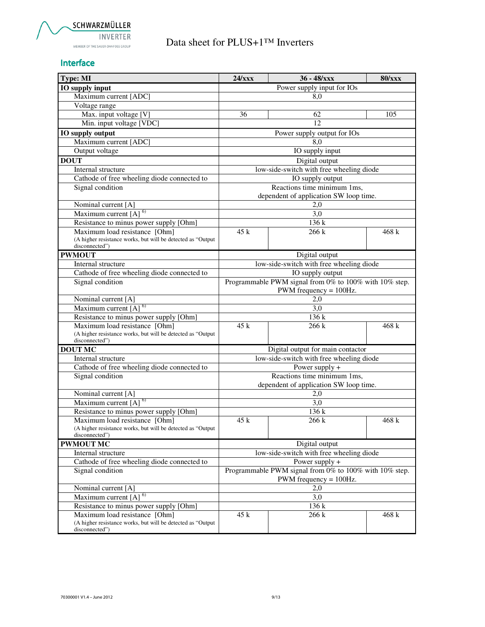#### Interface

| <b>Type: MI</b>                                                               | 24/xxx                                                 | 36 - 48/xxx                                            | <b>80/xxx</b> |
|-------------------------------------------------------------------------------|--------------------------------------------------------|--------------------------------------------------------|---------------|
| IO supply input                                                               |                                                        | Power supply input for IOs                             |               |
| Maximum current [ADC]                                                         |                                                        | 8,0                                                    |               |
| Voltage range                                                                 |                                                        |                                                        |               |
| Max. input voltage [V]                                                        | 36                                                     | 62                                                     | 105           |
| Min. input voltage [VDC]                                                      |                                                        | $\overline{12}$                                        |               |
| IO supply output                                                              |                                                        | Power supply output for IOs                            |               |
| Maximum current [ADC]                                                         |                                                        | 8,0                                                    |               |
| Output voltage                                                                |                                                        | IO supply input                                        |               |
| <b>DOUT</b>                                                                   |                                                        | Digital output                                         |               |
| Internal structure                                                            |                                                        | low-side-switch with free wheeling diode               |               |
| Cathode of free wheeling diode connected to                                   |                                                        | IO supply output                                       |               |
| Signal condition                                                              |                                                        | Reactions time minimum 1ms,                            |               |
|                                                                               |                                                        | dependent of application SW loop time.                 |               |
| Nominal current [A]                                                           |                                                        | 2,0                                                    |               |
| Maximum current $[A]$ <sup>6)</sup>                                           |                                                        | $\overline{3,0}$                                       |               |
| Resistance to minus power supply [Ohm]                                        |                                                        | 136 k                                                  |               |
| Maximum load resistance [Ohm]                                                 | 45 k                                                   | 266 k                                                  | 468 k         |
| (A higher resistance works, but will be detected as "Output<br>disconnected") |                                                        |                                                        |               |
| <b>PWMOUT</b>                                                                 |                                                        | Digital output                                         |               |
| Internal structure                                                            |                                                        | low-side-switch with free wheeling diode               |               |
| Cathode of free wheeling diode connected to                                   |                                                        | $\overline{IO}$ supply output                          |               |
| Signal condition                                                              |                                                        | Programmable PWM signal from 0% to 100% with 10% step. |               |
|                                                                               |                                                        | $PWM$ frequency = $100Hz$ .                            |               |
| Nominal current [A]                                                           |                                                        | 2,0                                                    |               |
| Maximum current $[A]$ <sup>6)</sup>                                           |                                                        | 3,0                                                    |               |
| Resistance to minus power supply [Ohm]                                        |                                                        | 136 k                                                  |               |
| Maximum load resistance [Ohm]                                                 | 45 k                                                   | 266 k                                                  | 468 k         |
| (A higher resistance works, but will be detected as "Output                   |                                                        |                                                        |               |
| disconnected")<br><b>DOUT MC</b>                                              |                                                        | Digital output for main contactor                      |               |
| Internal structure                                                            |                                                        | low-side-switch with free wheeling diode               |               |
| Cathode of free wheeling diode connected to                                   |                                                        | Power supply +                                         |               |
| Signal condition                                                              |                                                        | Reactions time minimum 1ms,                            |               |
|                                                                               |                                                        | dependent of application SW loop time.                 |               |
| Nominal current [A]                                                           |                                                        | 2,0                                                    |               |
| Maximum current $[A]^{6}$                                                     |                                                        | 3,0                                                    |               |
| Resistance to minus power supply [Ohm]                                        |                                                        | 136 k                                                  |               |
| Maximum load resistance [Ohm]                                                 | 45 k                                                   | 266k                                                   | 468 k         |
| (A higher resistance works, but will be detected as "Output                   |                                                        |                                                        |               |
| disconnected")                                                                |                                                        |                                                        |               |
| <b>PWMOUT MC</b>                                                              |                                                        | Digital output                                         |               |
| Internal structure                                                            | low-side-switch with free wheeling diode               |                                                        |               |
| Cathode of free wheeling diode connected to                                   | Power supply +                                         |                                                        |               |
| Signal condition                                                              | Programmable PWM signal from 0% to 100% with 10% step. |                                                        |               |
|                                                                               | PWM frequency $= 100$ Hz.                              |                                                        |               |
| Nominal current [A]<br>Maximum current [A] <sup>6)</sup>                      | 2,0                                                    |                                                        |               |
|                                                                               |                                                        | 3,0<br>136k                                            |               |
| Resistance to minus power supply [Ohm]<br>Maximum load resistance [Ohm]       | 45 k                                                   | 266 k                                                  | 468 k         |
| (A higher resistance works, but will be detected as "Output                   |                                                        |                                                        |               |
| disconnected")                                                                |                                                        |                                                        |               |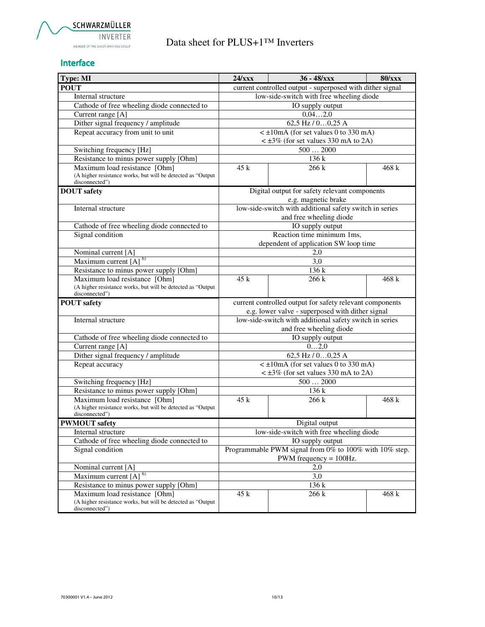

#### Interface

| Type: MI                                                                                                       | 24/xxx                                                                              | 36 - 48/xxx                                                                        | <b>80/xxx</b> |  |  |
|----------------------------------------------------------------------------------------------------------------|-------------------------------------------------------------------------------------|------------------------------------------------------------------------------------|---------------|--|--|
| <b>POUT</b>                                                                                                    | current controlled output - superposed with dither signal                           |                                                                                    |               |  |  |
| Internal structure                                                                                             | low-side-switch with free wheeling diode                                            |                                                                                    |               |  |  |
| Cathode of free wheeling diode connected to                                                                    | IO supply output                                                                    |                                                                                    |               |  |  |
| Current range [A]                                                                                              |                                                                                     | 0,042,0                                                                            |               |  |  |
| Dither signal frequency / amplitude                                                                            |                                                                                     | $62,5$ Hz $/$ 00, 25 A                                                             |               |  |  |
| Repeat accuracy from unit to unit                                                                              |                                                                                     | $\leq \pm 10$ mA (for set values 0 to 330 mA)                                      |               |  |  |
|                                                                                                                |                                                                                     | $\lt$ ±3% (for set values 330 mA to 2A)                                            |               |  |  |
| Switching frequency [Hz]                                                                                       |                                                                                     | 5002000                                                                            |               |  |  |
| Resistance to minus power supply [Ohm]                                                                         |                                                                                     | 136k                                                                               |               |  |  |
| Maximum load resistance [Ohm]<br>(A higher resistance works, but will be detected as "Output<br>disconnected") | 45k                                                                                 | 266k                                                                               | 468 k         |  |  |
| <b>DOUT</b> safety                                                                                             |                                                                                     | Digital output for safety relevant components<br>e.g. magnetic brake               |               |  |  |
| Internal structure                                                                                             |                                                                                     | low-side-switch with additional safety switch in series                            |               |  |  |
|                                                                                                                |                                                                                     | and free wheeling diode                                                            |               |  |  |
| Cathode of free wheeling diode connected to                                                                    |                                                                                     | IO supply output                                                                   |               |  |  |
| Signal condition                                                                                               |                                                                                     | Reaction time minimum 1ms,                                                         |               |  |  |
|                                                                                                                |                                                                                     | dependent of application SW loop time                                              |               |  |  |
| Nominal current [A]                                                                                            |                                                                                     | 2,0                                                                                |               |  |  |
| Maximum current [A] <sup>6)</sup>                                                                              |                                                                                     | 3,0                                                                                |               |  |  |
| Resistance to minus power supply [Ohm]                                                                         |                                                                                     | 136 k                                                                              |               |  |  |
| Maximum load resistance [Ohm]<br>(A higher resistance works, but will be detected as "Output<br>disconnected") | 45 k                                                                                | 266 k                                                                              | 468 k         |  |  |
| <b>POUT</b> safety                                                                                             |                                                                                     | current controlled output for safety relevant components                           |               |  |  |
|                                                                                                                |                                                                                     | e.g. lower valve - superposed with dither signal                                   |               |  |  |
| Internal structure                                                                                             |                                                                                     | low-side-switch with additional safety switch in series<br>and free wheeling diode |               |  |  |
| Cathode of free wheeling diode connected to                                                                    |                                                                                     | IO supply output                                                                   |               |  |  |
| Current range [A]                                                                                              |                                                                                     | 02,0                                                                               |               |  |  |
| Dither signal frequency / amplitude                                                                            |                                                                                     | 62,5 Hz $/$ 00,25 A                                                                |               |  |  |
| Repeat accuracy                                                                                                |                                                                                     | $\leq \pm 10$ mA (for set values 0 to 330 mA)                                      |               |  |  |
|                                                                                                                |                                                                                     | $\lt$ ±3% (for set values 330 mA to 2A)                                            |               |  |  |
| Switching frequency [Hz]                                                                                       |                                                                                     | 5002000                                                                            |               |  |  |
| Resistance to minus power supply [Ohm]                                                                         |                                                                                     | 136 k                                                                              |               |  |  |
| Maximum load resistance [Ohm]<br>(A higher resistance works, but will be detected as "Output<br>disconnected") | 45k                                                                                 | 266 k                                                                              | 468 k         |  |  |
| <b>PWMOUT</b> safety                                                                                           |                                                                                     | Digital output                                                                     |               |  |  |
| Internal structure                                                                                             |                                                                                     | low-side-switch with free wheeling diode                                           |               |  |  |
| Cathode of free wheeling diode connected to                                                                    | IO supply output                                                                    |                                                                                    |               |  |  |
| Signal condition                                                                                               | Programmable PWM signal from 0% to 100% with 10% step.<br>PWM frequency $= 100$ Hz. |                                                                                    |               |  |  |
| Nominal current [A]                                                                                            | 2,0                                                                                 |                                                                                    |               |  |  |
| Maximum current [A] <sup>6)</sup>                                                                              | 3,0                                                                                 |                                                                                    |               |  |  |
| Resistance to minus power supply [Ohm]                                                                         |                                                                                     | 136k                                                                               |               |  |  |
| Maximum load resistance [Ohm]<br>(A higher resistance works, but will be detected as "Output<br>disconnected") | 45 k                                                                                | 266 k                                                                              | 468 k         |  |  |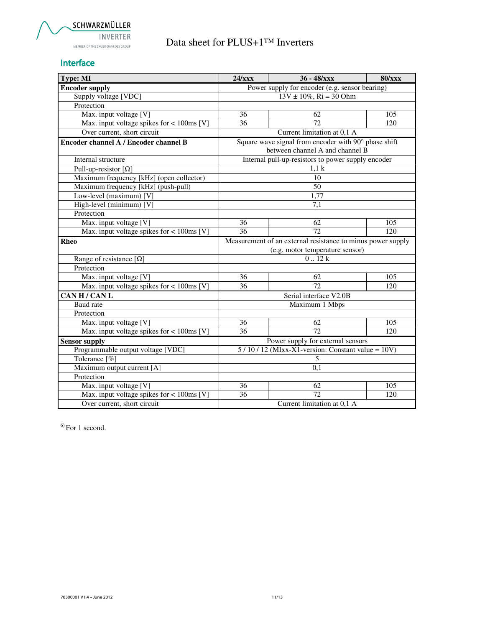### Interface

| Type: MI                                     | 24/xxx                                                      | $36 - 48/xxx$                                        | <b>80/xxx</b> |  |
|----------------------------------------------|-------------------------------------------------------------|------------------------------------------------------|---------------|--|
| <b>Encoder supply</b>                        | Power supply for encoder (e.g. sensor bearing)              |                                                      |               |  |
| Supply voltage [VDC]                         | $13V \pm 10\%$ , Ri = 30 Ohm                                |                                                      |               |  |
| Protection                                   |                                                             |                                                      |               |  |
| Max. input voltage [V]                       | 36                                                          | 62                                                   | 105           |  |
| Max. input voltage spikes for $< 100$ ms [V] | $\overline{36}$                                             | 72                                                   | 120           |  |
| Over current, short circuit                  |                                                             | Current limitation at 0,1 A                          |               |  |
| Encoder channel A / Encoder channel B        |                                                             | Square wave signal from encoder with 90° phase shift |               |  |
|                                              |                                                             | between channel A and channel B                      |               |  |
| Internal structure                           |                                                             | Internal pull-up-resistors to power supply encoder   |               |  |
| Pull-up-resistor $[\Omega]$                  |                                                             | 1.1 <sub>k</sub>                                     |               |  |
| Maximum frequency [kHz] (open collector)     |                                                             | $\overline{10}$                                      |               |  |
| Maximum frequency [kHz] (push-pull)          |                                                             | 50                                                   |               |  |
| Low-level (maximum) [V]                      |                                                             | 1,77                                                 |               |  |
| High-level (minimum) [V]                     |                                                             | 7.1                                                  |               |  |
| Protection                                   |                                                             |                                                      |               |  |
| Max. input voltage [V]                       | 36                                                          | 62                                                   | 105           |  |
| Max. input voltage spikes for < 100ms [V]    | 36                                                          | 72                                                   | 120           |  |
| Rheo                                         | Measurement of an external resistance to minus power supply |                                                      |               |  |
|                                              |                                                             | (e.g. motor temperature sensor)                      |               |  |
| Range of resistance $[\Omega]$               |                                                             | 0.12k                                                |               |  |
| Protection                                   |                                                             |                                                      |               |  |
| Max. input voltage [V]                       | 36                                                          | 62                                                   | 105           |  |
| Max. input voltage spikes for $< 100$ ms [V] | 36                                                          | 72                                                   | 120           |  |
| CAN H / CAN L                                |                                                             | Serial interface V2.0B                               |               |  |
| Baud rate                                    |                                                             | Maximum 1 Mbps                                       |               |  |
| Protection                                   |                                                             |                                                      |               |  |
| Max. input voltage [V]                       | 36                                                          | 62                                                   | 105           |  |
| Max. input voltage spikes for $< 100$ ms [V] | 36                                                          | 72                                                   | 120           |  |
| <b>Sensor supply</b>                         |                                                             | Power supply for external sensors                    |               |  |
| Programmable output voltage [VDC]            | $5/10/12$ (MIxx-X1-version: Constant value = 10V)           |                                                      |               |  |
| Tolerance [%]                                | 5                                                           |                                                      |               |  |
| Maximum output current [A]                   | 0,1                                                         |                                                      |               |  |
| Protection                                   |                                                             |                                                      |               |  |
| Max. input voltage [V]                       | 36                                                          | 62                                                   | 105           |  |
| Max. input voltage spikes for $< 100$ ms [V] | 36                                                          | $\overline{72}$                                      | 120           |  |
| Over current, short circuit                  | Current limitation at 0,1 A                                 |                                                      |               |  |

 $6$ ) For 1 second.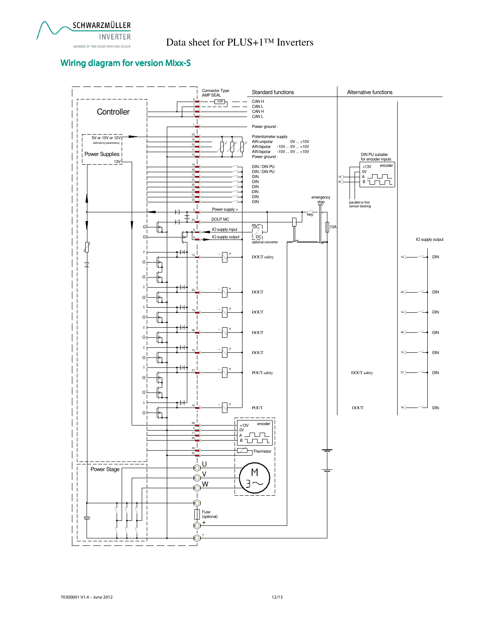

# INVERTER<br>MEMBER ON THE SAUER DANFOSS GROUP **Data sheet for PLUS+1™ Inverters**

### Wiring diagram for version MIxx-S